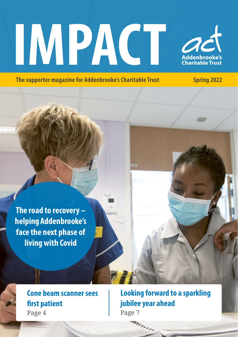# **IMPACT**



**The supporter magazine for Addenbrooke's Charitable Trust Spring 2022** 

**The road to recovery – helping Addenbrooke's face the next phase of living with Covid**

> **Cone beam scanner sees first patient** Page 4

**Looking forward to a sparkling jubilee year ahead** Page 7

**SYSTEM**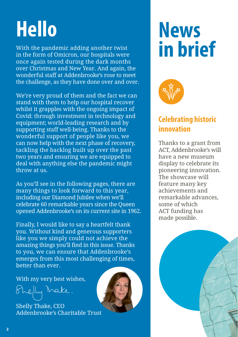### **Hello**

With the pandemic adding another twist in the form of Omicron, our hospitals were once again tested during the dark months over Christmas and New Year. And again, the wonderful staff at Addenbrooke's rose to meet the challenge, as they have done over and over.

We're very proud of them and the fact we can stand with them to help our hospital recover whilst it grapples with the ongoing impact of Covid: through investment in technology and equipment; world-leading research and by supporting staff well-being. Thanks to the wonderful support of people like you, we can now help with the next phase of recovery, tackling the backlog built up over the past two years and ensuring we are equipped to deal with anything else the pandemic might throw at us.

As you'll see in the following pages, there are many things to look forward to this year, including our Diamond Jubilee when we'll celebrate 60 remarkable years since the Queen opened Addenbrooke's on its current site in 1962.

Finally, I would like to say a heartfelt thank you. Without kind and generous supporters like you we simply could not achieve the amazing things you'll find in this issue. Thanks to you, we can ensure that Addenbrooke's emerges from this most challenging of times, better than ever.

With my very best wishes,

She<sub>l</sub>ly Make.

Shelly Thake, CEO Addenbrooke's Charitable Trust





### **Celebrating historic innovation**

Thanks to a grant from ACT, Addenbrooke's will have a new museum display to celebrate its pioneering innovation. The showcase will feature many key achievements and remarkable advances, some of which ACT funding has made possible.

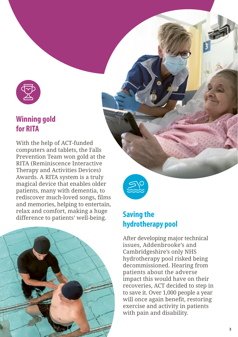

### **Winning gold for RITA**

With the help of ACT-funded computers and tablets, the Falls Prevention Team won gold at the RITA (Reminiscence Interactive Therapy and Activities Devices) Awards. A RITA system is a truly magical device that enables older patients, many with dementia, to rediscover much-loved songs, films and memories, helping to entertain, relax and comfort, making a huge difference to patients' well-being.





### **Saving the hydrotherapy pool**

After developing major technical issues, Addenbrooke's and Cambridgeshire's only NHS hydrotherapy pool risked being decommissioned. Hearing from patients about the adverse impact this would have on their recoveries, ACT decided to step in to save it. Over 1,000 people a year will once again benefit, restoring exercise and activity in patients with pain and disability.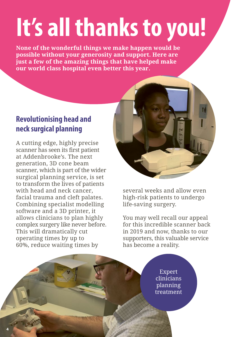## **It's all thanks to you!**

**None of the wonderful things we make happen would be possible without your generosity and support. Here are just a few of the amazing things that have helped make our world class hospital even better this year.**

### **Revolutionising head and neck surgical planning**

A cutting edge, highly precise scanner has seen its first patient at Addenbrooke's. The next generation, 3D cone beam scanner, which is part of the wider surgical planning service, is set to transform the lives of patients with head and neck cancer, facial trauma and cleft palates. Combining specialist modelling software and a 3D printer, it allows clinicians to plan highly complex surgery like never before. This will dramatically cut operating times by up to 60%, reduce waiting times by



several weeks and allow even high-risk patients to undergo life-saving surgery.

You may well recall our appeal for this incredible scanner back in 2019 and now, thanks to our supporters, this valuable service has become a reality.

> Expert clinicians planning treatment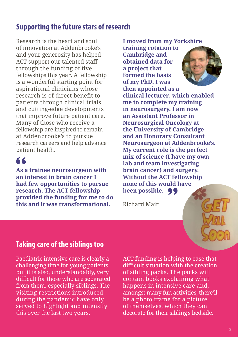### **Supporting the future stars of research**

Research is the heart and soul of innovation at Addenbrooke's and your generosity has helped ACT support our talented staff through the funding of five fellowships this year. A fellowship is a wonderful starting point for aspirational clinicians whose research is of direct benefit to patients through clinical trials and cutting-edge developments that improve future patient care. Many of those who receive a fellowship are inspired to remain at Addenbrooke's to pursue research careers and help advance patient health.

### 66

**As a trainee neurosurgeon with an interest in brain cancer I had few opportunities to pursue research. The ACT fellowship provided the funding for me to do this and it was transformational.** Richard Mair

**I moved from my Yorkshire training rotation to Cambridge and obtained data for a project that formed the basis of my PhD. I was then appointed as a clinical lecturer, which enabled me to complete my training in neurosurgery. I am now an Assistant Professor in Neurosurgical Oncology at the University of Cambridge and an Honorary Consultant Neurosurgeon at Addenbrooke's. My current role is the perfect mix of science (I have my own lab and team investigating brain cancer) and surgery. Without the ACT fellowship none of this would have been possible.** 

### **Taking care of the siblings too**

Paediatric intensive care is clearly a challenging time for young patients but it is also, understandably, very difficult for those who are separated from them, especially siblings. The visiting restrictions introduced during the pandemic have only served to highlight and intensify this over the last two years.

ACT funding is helping to ease that difficult situation with the creation of sibling packs. The packs will contain books explaining what happens in intensive care and, amongst many fun activities, there'll be a photo frame for a picture of themselves, which they can decorate for their sibling's bedside.



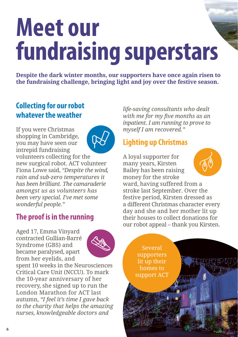### **Meet our fundraising superstars**

**Despite the dark winter months, our supporters have once again risen to the fundraising challenge, bringing light and joy over the festive season.**

### **Collecting for our robot whatever the weather**

If you were Christmas shopping in Cambridge, you may have seen our intrepid fundraising volunteers collecting for the new surgical robot. ACT volunteer Fiona Lowe said, *"Despite the wind, rain and sub-zero temperatures it has been brilliant. The camaraderie amongst us as volunteers has been very special. I've met some wonderful people."*

### **The proof is in the running**

Aged 17, Emma Vinyard contracted Gullian-Barré Syndrome (GBS) and became paralysed, apart from her eyelids, and



spent 10 weeks in the Neurosciences Critical Care Unit (NCCU). To mark the 10-year anniversary of her recovery, she signed up to run the London Marathon for ACT last autumn, *"I feel it's time I gave back to the charity that helps the amazing nurses, knowledgeable doctors and* 

*life-saving consultants who dealt with me for my five months as an inpatient. I am running to prove to myself I am recovered."*

### **Lighting up Christmas**

A loyal supporter for many years, Kirsten Bailey has been raising money for the stroke ward, having suffered from a stroke last September. Over the festive period, Kirsten dressed as a different Christmas character every day and she and her mother lit up their houses to collect donations for our robot appeal – thank you Kirsten.

> Several supporters lit up their homes to support ACT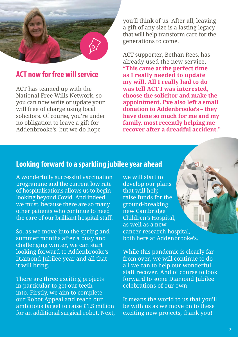

### **ACT now for free will service**

ACT has teamed up with the National Free Wills Network, so you can now write or update your will free of charge using local solicitors. Of course, you're under no obligation to leave a gift for Addenbrooke's, but we do hope

you'll think of us. After all, leaving a gift of any size is a lasting legacy that will help transform care for the generations to come.

ACT supporter, Bethan Rees, has already used the new service, **"This came at the perfect time as I really needed to update my will. All I really had to do was tell ACT I was interested, choose the solicitor and make the appointment. I've also left a small donation to Addenbrooke's – they have done so much for me and my family, most recently helping me recover after a dreadful accident."**

#### **Looking forward to a sparkling jubilee year ahead**

A wonderfully successful vaccination programme and the current low rate of hospitalisations allows us to begin looking beyond Covid. And indeed we must, because there are so many other patients who continue to need the care of our brilliant hospital staff.

So, as we move into the spring and summer months after a busy and challenging winter, we can start looking forward to Addenbrooke's Diamond Jubilee year and all that it will bring.

There are three exciting projects in particular to get our teeth into. Firstly, we aim to complete our Robot Appeal and reach our ambitious target to raise £1.5 million for an additional surgical robot. Next, we will start to develop our plans that will help raise funds for the ground-breaking new Cambridge Children's Hospital, as well as a new cancer research hospital, both here at Addenbrooke's.

While this pandemic is clearly far from over, we will continue to do all we can to help our wonderful staff recover. And of course to look forward to some Diamond Jubilee celebrations of our own.

It means the world to us that you'll be with us as we move on to these exciting new projects, thank you!